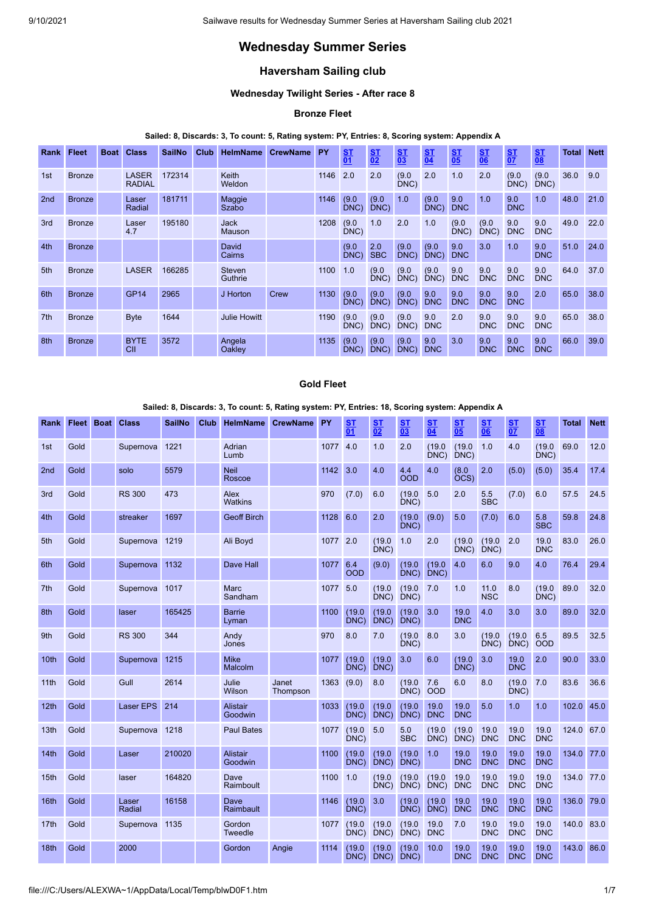# **Wednesday Summer Series**

# **Haversham Sailing club**

## **Wednesday Twilight Series - After race 8**

# **Bronze Fleet**

## **Sailed: 8, Discards: 3, To count: 5, Rating system: PY, Entries: 8, Scoring system: Appendix A**

| <b>Rank</b>     | <b>Fleet</b>  | <b>Boat Class</b>             | <b>SailNo</b> | Club | <b>HelmName</b>              | <b>CrewName</b> | <b>PY</b> | $\frac{ST}{01}$  | $\frac{S T}{02}$  | $\frac{S T}{03}$ | $rac{\mathsf{ST}}{04}$ | $rac{ST}{0.5}$    | $rac{\mathsf{ST}}{\mathsf{06}}$ | $rac{\mathsf{S}^{\mathsf{T}}}{\mathsf{0}^{\mathsf{T}}}$ | $\frac{ST}{08}$   | <b>Total</b> | <b>Nett</b> |
|-----------------|---------------|-------------------------------|---------------|------|------------------------------|-----------------|-----------|------------------|-------------------|------------------|------------------------|-------------------|---------------------------------|---------------------------------------------------------|-------------------|--------------|-------------|
| 1st             | <b>Bronze</b> | <b>LASER</b><br><b>RADIAL</b> | 172314        |      | Keith<br>Weldon              |                 | 1146      | 2.0              | 2.0               | (9.0)<br>DNC)    | 2.0                    | 1.0               | 2.0                             | (9.0)<br>DNC)                                           | (9.0)<br>DNC)     | 36.0         | 9.0         |
| 2nd             | <b>Bronze</b> | Laser<br>Radial               | 181711        |      | Maggie<br>Szabo              |                 | 1146      | (9.0)<br>DNC)    | (9.0)<br>$DNC$ )  | 1.0              | (9.0)<br>$DNC$ )       | 9.0<br><b>DNC</b> | 1.0                             | 9.0<br><b>DNC</b>                                       | 1.0               | 48.0         | 21.0        |
| 3rd             | <b>Bronze</b> | Laser<br>4.7                  | 195180        |      | <b>Jack</b><br><b>Mauson</b> |                 | 1208      | (9.0)<br>$DNC$ ) | 1.0               | 2.0              | 1.0                    | (9.0)<br>DNC)     | (9.0)<br>DNC                    | 9.0<br><b>DNC</b>                                       | 9.0<br><b>DNC</b> | 49.0         | 22.0        |
| 4th             | <b>Bronze</b> |                               |               |      | David<br>Cairns              |                 |           | (9.0)<br>DNC)    | 2.0<br><b>SBC</b> | (9.0)<br>DNC)    | (9.0)<br>DNC)          | 9.0<br><b>DNC</b> | 3.0                             | 1.0                                                     | 9.0<br><b>DNC</b> | 51.0         | 24.0        |
| 5th             | <b>Bronze</b> | <b>LASER</b>                  | 166285        |      | Steven<br>Guthrie            |                 | 1100      | 1.0              | (9.0)<br>DNC)     | (9.0)<br>DNC)    | (9.0)<br>DNC)          | 9.0<br><b>DNC</b> | 9.0<br><b>DNC</b>               | 9.0<br><b>DNC</b>                                       | 9.0<br><b>DNC</b> | 64.0         | 37.0        |
| 6th             | <b>Bronze</b> | <b>GP14</b>                   | 2965          |      | J Horton                     | Crew            | 1130      | (9.0)<br>DNC)    | (9.0)<br>$DNC$ )  | (9.0)<br>DNC)    | 9.0<br><b>DNC</b>      | 9.0<br><b>DNC</b> | 9.0<br><b>DNC</b>               | 9.0<br><b>DNC</b>                                       | 2.0               | 65.0         | 38.0        |
| 7 <sub>th</sub> | <b>Bronze</b> | <b>Byte</b>                   | 1644          |      | <b>Julie Howitt</b>          |                 | 1190      | (9.0)<br>DNC)    | (9.0)<br>DNC)     | (9.0)<br>DNC)    | 9.0<br><b>DNC</b>      | 2.0               | 9.0<br><b>DNC</b>               | 9.0<br><b>DNC</b>                                       | 9.0<br><b>DNC</b> | 65.0         | 38.0        |
| 8th             | <b>Bronze</b> | <b>BYTE</b><br>CII            | 3572          |      | Angela<br>Oakley             |                 | 1135      | (9.0)<br>DNC)    | (9.0)<br>DNC)     | (9.0)<br>DNC)    | 9.0<br><b>DNC</b>      | 3.0               | 9.0<br><b>DNC</b>               | 9.0<br><b>DNC</b>                                       | 9.0<br><b>DNC</b> | 66.0         | 39.0        |

#### **Gold Fleet**

### **Sailed: 8, Discards: 3, To count: 5, Rating system: PY, Entries: 18, Scoring system: Appendix A**

| Rank | <b>Fleet Boat</b> | <b>Class</b>    | <b>SailNo</b> | <b>Club</b> | <b>HelmName</b>            | <b>CrewName</b>   | PY   | <b>ST</b><br>$\overline{01}$ | <b>ST</b><br>$\overline{02}$ | <b>ST</b><br>$\overline{03}$ | <b>ST</b><br>$\overline{04}$ | S <sub>T</sub><br>$\overline{05}$ | S <sub>T</sub><br>06 | <b>ST</b><br>$\overline{07}$ | <b>ST</b><br>$\overline{08}$ | <b>Total</b> | <b>Nett</b> |
|------|-------------------|-----------------|---------------|-------------|----------------------------|-------------------|------|------------------------------|------------------------------|------------------------------|------------------------------|-----------------------------------|----------------------|------------------------------|------------------------------|--------------|-------------|
| 1st  | Gold              | Supernova       | 1221          |             | Adrian<br>Lumb             |                   | 1077 | 4.0                          | 1.0                          | 2.0                          | (19.0)<br>DNC)               | (19.0)<br>DNC                     | 1.0                  | 4.0                          | (19.0)<br>DNC)               | 69.0         | 12.0        |
| 2nd  | Gold              | solo            | 5579          |             | <b>Neil</b><br>Roscoe      |                   | 1142 | 3.0                          | 4.0                          | 4.4<br><b>OOD</b>            | 4.0                          | (8.0)<br>OCS)                     | 2.0                  | (5.0)                        | (5.0)                        | 35.4         | 17.4        |
| 3rd  | Gold              | <b>RS 300</b>   | 473           |             | Alex<br>Watkins            |                   | 970  | (7.0)                        | 6.0                          | (19.0)<br>DNC)               | 5.0                          | 2.0                               | 5.5<br><b>SBC</b>    | (7.0)                        | 6.0                          | 57.5         | 24.5        |
| 4th  | Gold              | streaker        | 1697          |             | <b>Geoff Birch</b>         |                   | 1128 | 6.0                          | 2.0                          | (19.0)<br>DNC)               | (9.0)                        | 5.0                               | (7.0)                | 6.0                          | 5.8<br><b>SBC</b>            | 59.8         | 24.8        |
| 5th  | Gold              | Supernova       | 1219          |             | Ali Boyd                   |                   | 1077 | 2.0                          | (19.0)<br>DNC)               | 1.0                          | 2.0                          | (19.0)<br>DNC)                    | (19.0)<br>DNC)       | 2.0                          | 19.0<br><b>DNC</b>           | 83.0         | 26.0        |
| 6th  | Gold              | Supernova       | 1132          |             | <b>Dave Hall</b>           |                   | 1077 | 6.4<br><b>OOD</b>            | (9.0)                        | (19.0)<br>DNC)               | (19.0)<br>DNC)               | 4.0                               | 6.0                  | 9.0                          | 4.0                          | 76.4         | 29.4        |
| 7th  | Gold              | Supernova       | 1017          |             | Marc<br>Sandham            |                   | 1077 | 5.0                          | (19.0)<br>DNC)               | (19.0)<br>DNC)               | 7.0                          | 1.0                               | 11.0<br><b>NSC</b>   | 8.0                          | (19.0)<br>DNC)               | 89.0         | 32.0        |
| 8th  | Gold              | laser           | 165425        |             | <b>Barrie</b><br>Lyman     |                   | 1100 | (19.0)<br>DNC)               | (19.0)<br>DNC)               | (19.0)<br>DNC)               | 3.0                          | 19.0<br><b>DNC</b>                | 4.0                  | 3.0                          | 3.0                          | 89.0         | 32.0        |
| 9th  | Gold              | <b>RS 300</b>   | 344           |             | Andy<br>Jones              |                   | 970  | 8.0                          | 7.0                          | (19.0)<br>DNC)               | 8.0                          | 3.0                               | (19.0)<br>DNC)       | (19.0)<br>DNC)               | 6.5<br><b>OOD</b>            | 89.5         | 32.5        |
| 10th | Gold              | Supernova       | 1215          |             | <b>Mike</b><br>Malcolm     |                   | 1077 | (19.0)<br>DNC)               | (19.0)<br>DNC)               | 3.0                          | 6.0                          | (19.0)<br>DNC                     | 3.0                  | 19.0<br><b>DNC</b>           | 2.0                          | 90.0         | 33.0        |
| 11th | Gold              | Gull            | 2614          |             | Julie<br>Wilson            | Janet<br>Thompson | 1363 | (9.0)                        | 8.0                          | (19.0)<br>DNC)               | 7.6<br>OOD                   | 6.0                               | 8.0                  | (19.0)<br>DNC)               | 7.0                          | 83.6         | 36.6        |
| 12th | Gold              | Laser EPS       | 214           |             | <b>Alistair</b><br>Goodwin |                   | 1033 | (19.0)<br>DNC)               | (19.0)<br>DNC)               | (19.0)<br>DNC)               | 19.0<br><b>DNC</b>           | 19.0<br><b>DNC</b>                | 5.0                  | 1.0                          | 1.0                          | 102.0        | 45.0        |
| 13th | Gold              | Supernova       | 1218          |             | <b>Paul Bates</b>          |                   | 1077 | (19.0)<br>DNC)               | 5.0                          | 5.0<br><b>SBC</b>            | (19.0)<br>DNC)               | (19.0)<br>DNC)                    | 19.0<br><b>DNC</b>   | 19.0<br><b>DNC</b>           | 19.0<br><b>DNC</b>           | 124.0        | 67.0        |
| 14th | Gold              | Laser           | 210020        |             | <b>Alistair</b><br>Goodwin |                   | 1100 | (19.0)<br>DNC)               | (19.0)<br>DNC)               | (19.0)<br>DNC)               | 1.0                          | 19.0<br><b>DNC</b>                | 19.0<br><b>DNC</b>   | 19.0<br><b>DNC</b>           | 19.0<br><b>DNC</b>           | 134.0        | 77.0        |
| 15th | Gold              | laser           | 164820        |             | Dave<br>Raimboult          |                   | 1100 | 1.0                          | (19.0)<br>DNC)               | (19.0)<br>$DNC$ )            | (19.0)<br>DNC)               | 19.0<br><b>DNC</b>                | 19.0<br><b>DNC</b>   | 19.0<br><b>DNC</b>           | 19.0<br><b>DNC</b>           | 134.0        | 77.0        |
| 16th | Gold              | Laser<br>Radial | 16158         |             | Dave<br>Raimbault          |                   | 1146 | (19.0)<br>DNC)               | 3.0                          | (19.0)<br>DNC)               | (19.0)<br>DNC)               | 19.0<br><b>DNC</b>                | 19.0<br><b>DNC</b>   | 19.0<br><b>DNC</b>           | 19.0<br><b>DNC</b>           | 136.0        | 79.0        |
| 17th | Gold              | Supernova       | 1135          |             | Gordon<br><b>Tweedle</b>   |                   | 1077 | (19.0)<br>DNC)               | (19.0)<br>DNC)               | (19.0)<br>DNC)               | 19.0<br><b>DNC</b>           | 7.0                               | 19.0<br><b>DNC</b>   | 19.0<br><b>DNC</b>           | 19.0<br><b>DNC</b>           | 140.0        | 83.0        |
| 18th | Gold              | 2000            |               |             | Gordon                     | Angie             | 1114 | (19.0)<br>DNC)               | (19.0)<br>DNC)               | (19.0)<br>DNC)               | 10.0                         | 19.0<br><b>DNC</b>                | 19.0<br><b>DNC</b>   | 19.0<br><b>DNC</b>           | 19.0<br><b>DNC</b>           | 143.0        | 86.0        |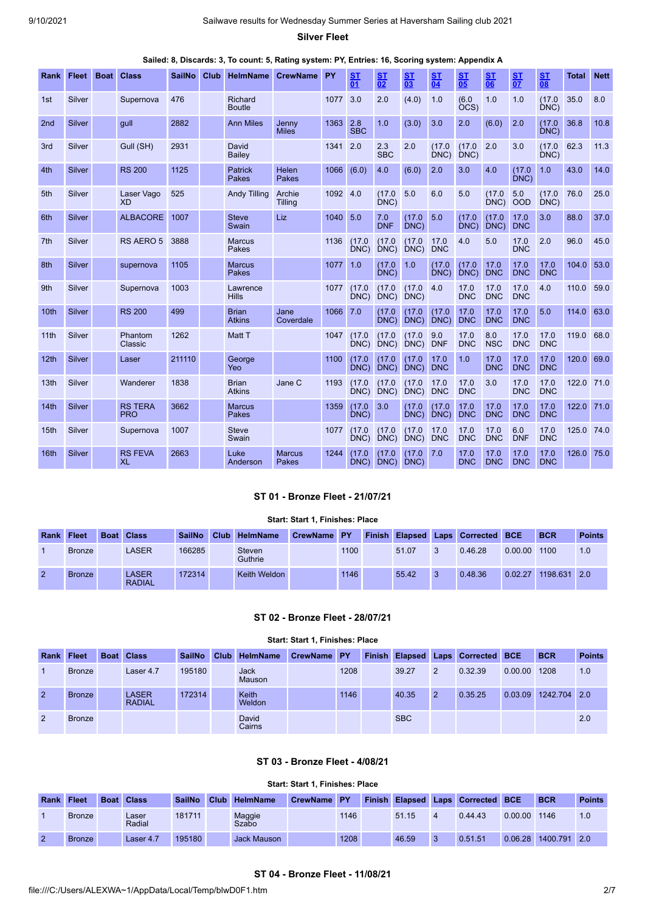**Silver Fleet**

| Rank             | <b>Fleet</b> | <b>Boat</b> | <b>Class</b>                 | <b>SailNo</b> | Club | <b>HelmName</b>               | <b>CrewName</b>               | PY   | <b>ST</b><br>$\overline{01}$ | S <sub>T</sub><br>$\overline{02}$ | <u>ST</u><br>$\overline{03}$ | S <sub>T</sub><br>$\overline{04}$ | <u>ST</u><br>$\overline{05}$ | <u>ST</u><br>06    | <u>ST</u><br>$\overline{07}$ | ST<br>$\overline{08}$ | <b>Total</b> | <b>Nett</b> |
|------------------|--------------|-------------|------------------------------|---------------|------|-------------------------------|-------------------------------|------|------------------------------|-----------------------------------|------------------------------|-----------------------------------|------------------------------|--------------------|------------------------------|-----------------------|--------------|-------------|
| 1st              | Silver       |             | Supernova                    | 476           |      | Richard<br><b>Boutle</b>      |                               | 1077 | 3.0                          | 2.0                               | (4.0)                        | 1.0                               | (6.0)<br>OCS)                | 1.0                | 1.0                          | (17.0)<br>DNC)        | 35.0         | 8.0         |
| 2 <sub>nd</sub>  | Silver       |             | gull                         | 2882          |      | <b>Ann Miles</b>              | Jenny<br><b>Miles</b>         | 1363 | 2.8<br><b>SBC</b>            | 1.0                               | (3.0)                        | 3.0                               | 2.0                          | (6.0)              | 2.0                          | (17.0)<br>DNC         | 36.8         | 10.8        |
| 3rd              | Silver       |             | Gull (SH)                    | 2931          |      | David<br>Bailey               |                               | 1341 | 2.0                          | 2.3<br><b>SBC</b>                 | 2.0                          | (17.0)<br>DNC                     | (17.0)<br>DNC)               | 2.0                | 3.0                          | (17.0)<br>DNC         | 62.3         | 11.3        |
| 4th              | Silver       |             | <b>RS 200</b>                | 1125          |      | Patrick<br>Pakes              | Helen<br><b>Pakes</b>         | 1066 | (6.0)                        | 4.0                               | (6.0)                        | 2.0                               | 3.0                          | 4.0                | (17.0)<br>DNC)               | 1.0                   | 43.0         | 14.0        |
| 5th              | Silver       |             | Laser Vago<br><b>XD</b>      | 525           |      | <b>Andy Tilling</b>           | Archie<br><b>Tilling</b>      | 1092 | 4.0                          | (17.0)<br>DNC                     | 5.0                          | 6.0                               | 5.0                          | (17.0)<br>DNC      | 5.0<br><b>OOD</b>            | (17.0)<br>DNC         | 76.0         | 25.0        |
| 6th              | Silver       |             | <b>ALBACORE</b>              | 1007          |      | <b>Steve</b><br>Swain         | Liz                           | 1040 | 5.0                          | 7.0<br><b>DNF</b>                 | (17.0)<br>DNC)               | 5.0                               | (17.0)<br>DNC)               | (17.0)<br>DNC)     | 17.0<br><b>DNC</b>           | 3.0                   | 88.0         | 37.0        |
| 7 <sup>th</sup>  | Silver       |             | RS AERO 5                    | 3888          |      | <b>Marcus</b><br>Pakes        |                               | 1136 | (17.0)<br>DNC)               | (17.0)<br>DNC)                    | (17.0)<br>DNC)               | 17.0<br><b>DNC</b>                | 4.0                          | 5.0                | 17.0<br><b>DNC</b>           | 2.0                   | 96.0         | 45.0        |
| 8th              | Silver       |             | supernova                    | 1105          |      | <b>Marcus</b><br>Pakes        |                               | 1077 | 1.0                          | (17.0)<br>DNC)                    | 1.0                          | (17.0)<br>DNC)                    | (17.0)<br>DNC)               | 17.0<br><b>DNC</b> | 17.0<br><b>DNC</b>           | 17.0<br><b>DNC</b>    | 104.0        | 53.0        |
| 9th              | Silver       |             | Supernova                    | 1003          |      | Lawrence<br><b>Hills</b>      |                               | 1077 | (17.0)<br>DNC                | (17.0)<br>DNC)                    | (17.0)<br>DNC)               | 4.0                               | 17.0<br><b>DNC</b>           | 17.0<br><b>DNC</b> | 17.0<br><b>DNC</b>           | 4.0                   | 110.0        | 59.0        |
| 10th             | Silver       |             | <b>RS 200</b>                | 499           |      | <b>Brian</b><br><b>Atkins</b> | Jane<br>Coverdale             | 1066 | 7.0                          | (17.0)<br>DNC                     | (17.0)<br>DNC)               | (17.0)<br>DNC)                    | 17.0<br><b>DNC</b>           | 17.0<br><b>DNC</b> | 17.0<br><b>DNC</b>           | 5.0                   | 114.0        | 63.0        |
| 11th             | Silver       |             | Phantom<br>Classic           | 1262          |      | Matt T                        |                               | 1047 | (17.0)<br>DNC                | (17.0)<br>DNC)                    | (17.0)<br>DNC)               | 9.0<br><b>DNF</b>                 | 17.0<br><b>DNC</b>           | 8.0<br><b>NSC</b>  | 17.0<br><b>DNC</b>           | 17.0<br><b>DNC</b>    | 119.0        | 68.0        |
| 12 <sub>th</sub> | Silver       |             | Laser                        | 211110        |      | George<br>Yeo                 |                               | 1100 | (17.0)<br>DNC)               | (17.0)<br>DNC)                    | (17.0)<br>DNC)               | 17.0<br><b>DNC</b>                | 1.0                          | 17.0<br><b>DNC</b> | 17.0<br><b>DNC</b>           | 17.0<br><b>DNC</b>    | 120.0        | 69.0        |
| 13 <sub>th</sub> | Silver       |             | Wanderer                     | 1838          |      | <b>Brian</b><br><b>Atkins</b> | Jane C                        | 1193 | (17.0)<br>DNC)               | (17.0)<br>DNC)                    | (17.0)<br>DNC)               | 17.0<br><b>DNC</b>                | 17.0<br><b>DNC</b>           | 3.0                | 17.0<br><b>DNC</b>           | 17.0<br><b>DNC</b>    | 122.0        | 71.0        |
| 14th             | Silver       |             | <b>RS TERA</b><br><b>PRO</b> | 3662          |      | <b>Marcus</b><br>Pakes        |                               | 1359 | (17.0)<br>DNC)               | 3.0                               | (17.0)<br>DNC)               | (17.0)<br>DNC)                    | 17.0<br><b>DNC</b>           | 17.0<br><b>DNC</b> | 17.0<br><b>DNC</b>           | 17.0<br><b>DNC</b>    | 122.0        | 71.0        |
| 15th             | Silver       |             | Supernova                    | 1007          |      | <b>Steve</b><br>Swain         |                               | 1077 | (17.0)<br>DNC)               | (17.0)<br>DNC)                    | (17.0)<br>DNC)               | 17.0<br><b>DNC</b>                | 17.0<br><b>DNC</b>           | 17.0<br><b>DNC</b> | 6.0<br><b>DNF</b>            | 17.0<br><b>DNC</b>    | 125.0 74.0   |             |
| 16th             | Silver       |             | <b>RS FEVA</b><br><b>XL</b>  | 2663          |      | Luke<br>Anderson              | <b>Marcus</b><br><b>Pakes</b> | 1244 | (17.0)<br>$DNC$ )            | (17.0)<br>DNC                     | (17.0)<br>DNC                | 7.0                               | 17.0<br><b>DNC</b>           | 17.0<br><b>DNC</b> | 17.0<br><b>DNC</b>           | 17.0<br><b>DNC</b>    | 126.0        | 75.0        |

# **ST 01 - Bronze Fleet - 21/07/21**

# **Start: Start 1, Finishes: Place**

<span id="page-1-0"></span>

| <b>Rank Fleet</b> |               | <b>Boat Class</b>      | <b>SailNo</b> | Club HelmName            | CrewName PY |      |       |   | <b>Finish Elapsed Laps Corrected BCE</b> |         | <b>BCR</b>   | <b>Points</b> |
|-------------------|---------------|------------------------|---------------|--------------------------|-------------|------|-------|---|------------------------------------------|---------|--------------|---------------|
|                   | <b>Bronze</b> | LASER                  | 166285        | <b>Steven</b><br>Guthrie |             | 1100 | 51.07 | 3 | 0.46.28                                  | 0.00.00 | 1100         | 1.0           |
| $\overline{2}$    | <b>Bronze</b> | LASER<br><b>RADIAL</b> | 172314        | Keith Weldon             |             | 1146 | 55.42 | 3 | 0.48.36                                  | 0.02.27 | 1198.631 2.0 |               |

## **ST 02 - Bronze Fleet - 28/07/21**

|  |  |  | Start: Start 1, Finishes: Place |  |
|--|--|--|---------------------------------|--|
|--|--|--|---------------------------------|--|

<span id="page-1-1"></span>

| <b>Rank</b>    | Fleet         | <b>Boat Class</b>             | <b>SailNo</b> | Club | <b>HelmName</b>               | CrewName PY |      | <b>Finish Elapsed</b> |   | <b>Laps Corrected BCE</b> |         | <b>BCR</b>   | <b>Points</b> |
|----------------|---------------|-------------------------------|---------------|------|-------------------------------|-------------|------|-----------------------|---|---------------------------|---------|--------------|---------------|
|                | <b>Bronze</b> | Laser 4.7                     | 195180        |      | Jack<br>Mauson                |             | 1208 | 39.27                 | 2 | 0.32.39                   | 0.00.00 | 1208         | 1.0           |
| $\overline{2}$ | <b>Bronze</b> | <b>LASER</b><br><b>RADIAL</b> | 172314        |      | <b>Keith</b><br><b>Weldon</b> |             | 1146 | 40.35                 | 2 | 0.35.25                   | 0.03.09 | 1242.704 2.0 |               |
| 2              | <b>Bronze</b> |                               |               |      | David<br>Cairns               |             |      | <b>SBC</b>            |   |                           |         |              | 2.0           |

# **ST 03 - Bronze Fleet - 4/08/21**

|  | Start: Start 1, Finishes: Place |  |
|--|---------------------------------|--|

<span id="page-1-3"></span><span id="page-1-2"></span>

| Rank | Fleet         | <b>Boat</b> | <b>Class</b>    | <b>SailNo</b> | Club HelmName      | CrewName PY |      |       |   | Finish Elapsed Laps Corrected BCE |         | <b>BCR</b> | <b>Points</b> |
|------|---------------|-------------|-----------------|---------------|--------------------|-------------|------|-------|---|-----------------------------------|---------|------------|---------------|
|      | <b>Bronze</b> |             | Laser<br>Radial | 181711        | Maggie<br>Szabo    |             | 1146 | 51.15 | 4 | 0.44.43                           | 0.00.00 | 1146       | 1.0           |
|      | <b>Bronze</b> |             | Laser 4.7       | 195180        | <b>Jack Mauson</b> |             | 1208 | 46.59 | 3 | 0.51.51                           | 0.06.28 | 1400.791   | 2.0           |

### **ST 04 - Bronze Fleet - 11/08/21**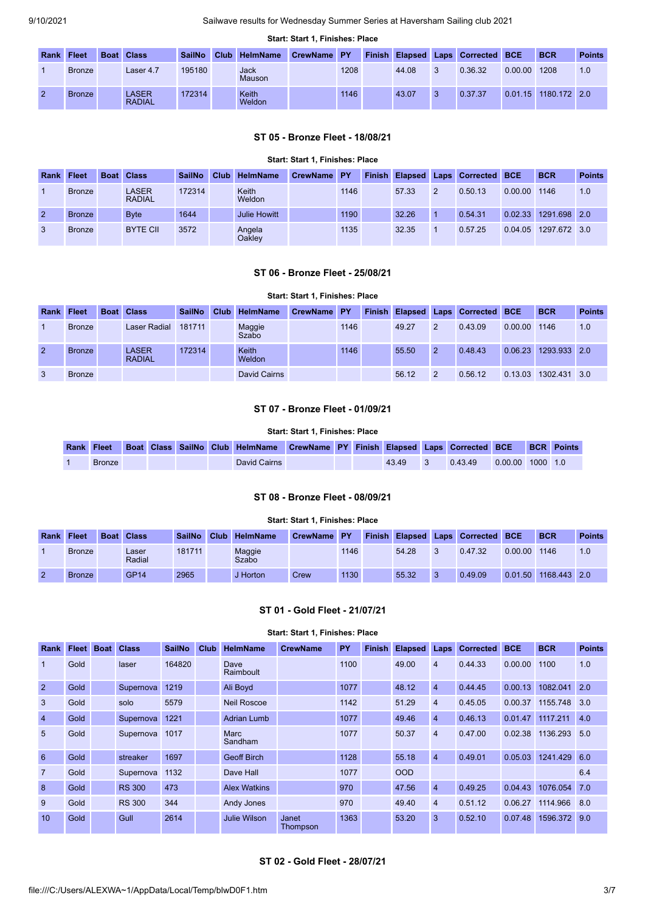#### **Start: Start 1, Finishes: Place**

| Rank Fleet    | <b>Boat</b> | <b>Class</b>                  | <b>SailNo</b> | Club HelmName   | CrewName PY |      |       |    | Finish Elapsed Laps Corrected BCE |         | <b>BCR</b>           | <b>Points</b> |
|---------------|-------------|-------------------------------|---------------|-----------------|-------------|------|-------|----|-----------------------------------|---------|----------------------|---------------|
| <b>Bronze</b> |             | Laser 4.7                     | 195180        | Jack<br>Mauson  |             | 1208 | 44.08 | -3 | 0.36.32                           | 0.00.00 | 1208                 | 1.0           |
| <b>Bronze</b> |             | <b>LASER</b><br><b>RADIAL</b> | 172314        | Keith<br>Weldon |             | 1146 | 43.07 | -3 | 0.37.37                           |         | 0.01.15 1180.172 2.0 |               |

## **ST 05 - Bronze Fleet - 18/08/21**

<span id="page-2-0"></span>

|                |               |                               |               |                     | <b>Start: Start 1. Finishes: Place</b> |      |       |   |                                   |         |              |               |
|----------------|---------------|-------------------------------|---------------|---------------------|----------------------------------------|------|-------|---|-----------------------------------|---------|--------------|---------------|
| <b>Rank</b>    | <b>Fleet</b>  | <b>Boat Class</b>             | <b>SailNo</b> | Club HelmName       | <b>CrewName PY</b>                     |      |       |   | Finish Elapsed Laps Corrected BCE |         | <b>BCR</b>   | <b>Points</b> |
|                | <b>Bronze</b> | <b>LASER</b><br><b>RADIAL</b> | 172314        | Keith<br>Weldon     |                                        | 1146 | 57.33 | 2 | 0.50.13                           | 0.00.00 | 1146         | 1.0           |
| $\overline{2}$ | <b>Bronze</b> | <b>B</b> vte                  | 1644          | <b>Julie Howitt</b> |                                        | 1190 | 32.26 |   | 0.54.31                           | 0.02.33 | 1291.698 2.0 |               |
| 3              | <b>Bronze</b> | <b>BYTE CII</b>               | 3572          | Angela<br>Oakley    |                                        | 1135 | 32.35 |   | 0.57.25                           | 0.04.05 | 1297.672 3.0 |               |

#### **ST 06 - Bronze Fleet - 25/08/21**

### **Start: Start 1, Finishes: Place**

<span id="page-2-1"></span>

| <b>Rank</b>    | <b>Fleet</b>  | <b>Boat Class</b>      | <b>SailNo</b> | <b>Club</b> | <b>HelmName</b>        | CrewName PY |      |       |               | <b>Finish Elapsed Laps Corrected BCE</b> |         | <b>BCR</b>   | <b>Points</b> |
|----------------|---------------|------------------------|---------------|-------------|------------------------|-------------|------|-------|---------------|------------------------------------------|---------|--------------|---------------|
|                | <b>Bronze</b> | Laser Radial           | 181711        |             | Maggie<br>Szabo        |             | 1146 | 49.27 | $\mathcal{P}$ | 0.43.09                                  | 0.00.00 | 1146         | 1.0           |
| $\overline{2}$ | <b>Bronze</b> | LASER<br><b>RADIAL</b> | 172314        |             | Keith<br><b>Weldon</b> |             | 1146 | 55.50 | $\mathcal{P}$ | 0.48.43                                  | 0.06.23 | 1293.933 2.0 |               |
|                | <b>Bronze</b> |                        |               |             | David Cairns           |             |      | 56.12 | $\mathcal{P}$ | 0.56.12                                  | 0.13.03 | 1302.431 3.0 |               |

# **ST 07 - Bronze Fleet - 01/09/21**

#### **Start: Start 1, Finishes: Place**

<span id="page-2-2"></span>

|               |  |  | Rank Fleet Boat Class SailNo Club HelmName CrewName PY Finish Elapsed Laps Corrected BCE BCR Points |  |       |         |                    |  |
|---------------|--|--|-----------------------------------------------------------------------------------------------------|--|-------|---------|--------------------|--|
| <b>Bronze</b> |  |  | David Cairns                                                                                        |  | 43.49 | 0.43.49 | $0.00.00$ 1000 1.0 |  |

# **ST 08 - Bronze Fleet - 08/09/21**

# **Start: Start 1, Finishes: Place**

<span id="page-2-3"></span>

| Rank | Fleet         | <b>Boat Class</b> | <b>SailNo</b> | Club <sub>1</sub> | <b>HelmName</b> | CrewName PY |      |       |    | <b>Finish Elapsed Laps Corrected BCE</b> |         | <b>BCR</b>   | <b>Points</b> |
|------|---------------|-------------------|---------------|-------------------|-----------------|-------------|------|-------|----|------------------------------------------|---------|--------------|---------------|
|      | <b>Bronze</b> | Laser<br>Radial   | 181711        |                   | Maggie<br>Szabo |             | 1146 | 54.28 | 3  | 0.47.32                                  | 0.00.00 | 1146         | 1.0           |
| 2    | <b>Bronze</b> | <b>GP14</b>       | 2965          |                   | J Horton        | Crew        | 1130 | 55.32 | -3 | 0.49.09                                  | 0.01.50 | 1168.443 2.0 |               |

# **ST 01 - Gold Fleet - 21/07/21**

#### **Start: Start 1, Finishes: Place**

<span id="page-2-5"></span><span id="page-2-4"></span>

| Rank           | <b>Fleet</b> | <b>Boat</b> | <b>Class</b>  | <b>SailNo</b> | Club | <b>HelmName</b>     | <b>CrewName</b>   | PY   | <b>Finish</b> | <b>Elapsed</b> | Laps           | <b>Corrected</b> | <b>BCE</b> | <b>BCR</b>   | <b>Points</b> |
|----------------|--------------|-------------|---------------|---------------|------|---------------------|-------------------|------|---------------|----------------|----------------|------------------|------------|--------------|---------------|
|                | Gold         |             | laser         | 164820        |      | Dave<br>Raimboult   |                   | 1100 |               | 49.00          | $\overline{4}$ | 0.44.33          | 0.00.00    | 1100         | 1.0           |
| $\overline{2}$ | Gold         |             | Supernova     | 1219          |      | Ali Boyd            |                   | 1077 |               | 48.12          | $\overline{4}$ | 0.44.45          | 0.00.13    | 1082.041     | 2.0           |
| 3              | Gold         |             | solo          | 5579          |      | <b>Neil Roscoe</b>  |                   | 1142 |               | 51.29          | $\overline{4}$ | 0.45.05          | 0.00.37    | 1155.748     | 3.0           |
| $\overline{4}$ | Gold         |             | Supernova     | 1221          |      | <b>Adrian Lumb</b>  |                   | 1077 |               | 49.46          | $\overline{4}$ | 0.46.13          | 0.01.47    | 1117.211     | 4.0           |
| 5              | Gold         |             | Supernova     | 1017          |      | Marc<br>Sandham     |                   | 1077 |               | 50.37          | $\overline{4}$ | 0.47.00          | 0.02.38    | 1136.293     | 5.0           |
| 6              | Gold         |             | streaker      | 1697          |      | <b>Geoff Birch</b>  |                   | 1128 |               | 55.18          | $\overline{4}$ | 0.49.01          | 0.05.03    | 1241.429     | 6.0           |
| $\overline{7}$ | Gold         |             | Supernova     | 1132          |      | Dave Hall           |                   | 1077 |               | <b>OOD</b>     |                |                  |            |              | 6.4           |
| 8              | Gold         |             | <b>RS 300</b> | 473           |      | <b>Alex Watkins</b> |                   | 970  |               | 47.56          | $\overline{4}$ | 0.49.25          | 0.04.43    | 1076.054     | 7.0           |
| 9              | Gold         |             | <b>RS 300</b> | 344           |      | Andy Jones          |                   | 970  |               | 49.40          | $\overline{4}$ | 0.51.12          | 0.06.27    | 1114.966     | 8.0           |
| 10             | Gold         |             | Gull          | 2614          |      | Julie Wilson        | Janet<br>Thompson | 1363 |               | 53.20          | 3              | 0.52.10          | 0.07.48    | 1596.372 9.0 |               |

## **ST 02 - Gold Fleet - 28/07/21**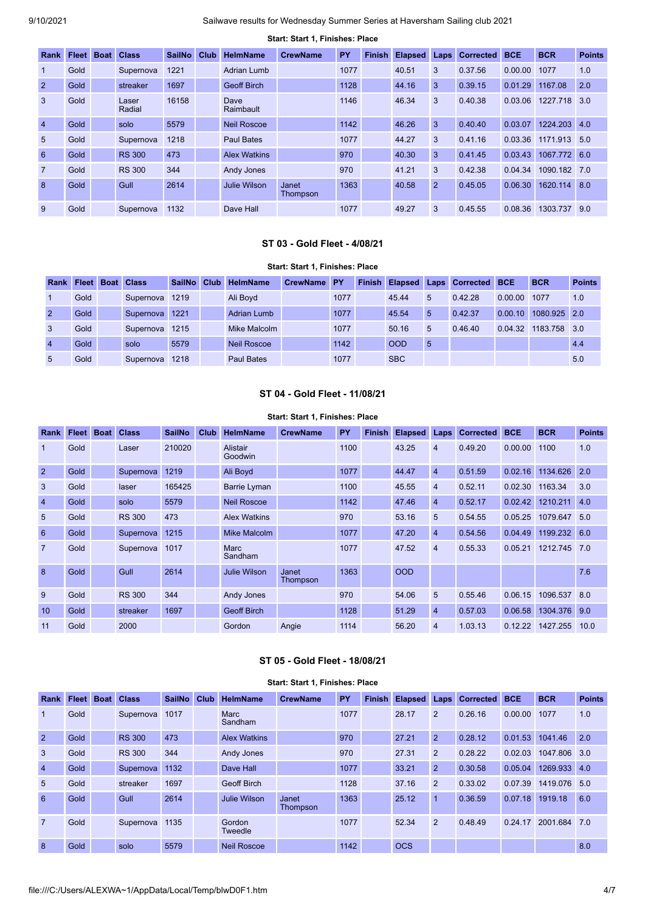|                 |                   |                 |               |      |                     | Start: Start 1, Finishes: Place |      |               |                |                |                  |            |              |               |
|-----------------|-------------------|-----------------|---------------|------|---------------------|---------------------------------|------|---------------|----------------|----------------|------------------|------------|--------------|---------------|
| Rank            | <b>Fleet Boat</b> | <b>Class</b>    | <b>SailNo</b> | Club | <b>HelmName</b>     | <b>CrewName</b>                 | PY   | <b>Finish</b> | <b>Elapsed</b> | Laps           | <b>Corrected</b> | <b>BCE</b> | <b>BCR</b>   | <b>Points</b> |
| -1              | Gold              | Supernova       | 1221          |      | Adrian Lumb         |                                 | 1077 |               | 40.51          | 3              | 0.37.56          | 0.00.00    | 1077         | 1.0           |
| $\overline{2}$  | Gold              | streaker        | 1697          |      | <b>Geoff Birch</b>  |                                 | 1128 |               | 44.16          | 3              | 0.39.15          | 0.01.29    | 1167.08      | 2.0           |
| $\mathbf{3}$    | Gold              | Laser<br>Radial | 16158         |      | Dave<br>Raimbault   |                                 | 1146 |               | 46.34          | 3              | 0.40.38          | 0.03.06    | 1227.718     | 3.0           |
| $\overline{4}$  | Gold              | solo            | 5579          |      | <b>Neil Roscoe</b>  |                                 | 1142 |               | 46.26          | 3              | 0.40.40          | 0.03.07    | 1224.203 4.0 |               |
| $5\overline{)}$ | Gold              | Supernova       | 1218          |      | Paul Bates          |                                 | 1077 |               | 44.27          | 3              | 0.41.16          | 0.03.36    | 1171.913     | 5.0           |
| 6               | Gold              | <b>RS 300</b>   | 473           |      | <b>Alex Watkins</b> |                                 | 970  |               | 40.30          | 3              | 0.41.45          | 0.03.43    | 1067.772     | 6.0           |
| $\overline{7}$  | Gold              | <b>RS 300</b>   | 344           |      | Andy Jones          |                                 | 970  |               | 41.21          | 3              | 0.42.38          | 0.04.34    | 1090.182 7.0 |               |
| $\mathbf{8}$    | Gold              | Gull            | 2614          |      | Julie Wilson        | Janet<br>Thompson               | 1363 |               | 40.58          | $\overline{2}$ | 0.45.05          | 0.06.30    | 1620.114     | 8.0           |
| 9               | Gold              | Supernova       | 1132          |      | Dave Hall           |                                 | 1077 |               | 49.27          | 3              | 0.45.55          | 0.08.36    | 1303.737     | 9.0           |

## **ST 03 - Gold Fleet - 4/08/21**

### **Start: Start 1, Finishes: Place**

<span id="page-3-0"></span>

| Rank           | Fleet Boat | <b>Class</b> | <b>SailNo</b> | Club | <b>HelmName</b>    | CrewName PY |      | <b>Finish Elapsed</b> |    | <b>Laps Corrected BCE</b> |         | <b>BCR</b>   | <b>Points</b>   |
|----------------|------------|--------------|---------------|------|--------------------|-------------|------|-----------------------|----|---------------------------|---------|--------------|-----------------|
|                | Gold       | Supernova    | 1219          |      | Ali Boyd           |             | 1077 | 45.44                 | 5  | 0.42.28                   | 0.00.00 | 1077         | 1.0             |
| $\overline{2}$ | Gold       | Supernova    | 1221          |      | <b>Adrian Lumb</b> |             | 1077 | 45.54                 | 5  | 0.42.37                   | 0.00.10 | 1080.925 2.0 |                 |
| 3              | Gold       | Supernova    | 1215          |      | Mike Malcolm       |             | 1077 | 50.16                 | 5  | 0.46.40                   | 0.04.32 | 1183.758     | $\overline{30}$ |
| $\overline{4}$ | Gold       | solo         | 5579          |      | Neil Roscoe        |             | 1142 | <b>OOD</b>            | -5 |                           |         |              | 4.4             |
| 5              | Gold       | Supernova    | 1218          |      | Paul Bates         |             | 1077 | <b>SBC</b>            |    |                           |         |              | 5.0             |

## **ST 04 - Gold Fleet - 11/08/21**

#### **Start: Start 1, Finishes: Place**

<span id="page-3-1"></span>

| <b>Rank</b>    | <b>Fleet</b> | <b>Boat</b> | <b>Class</b>  | <b>SailNo</b> | Club | <b>HelmName</b>     | <b>CrewName</b>   | PY   | <b>Finish</b> | <b>Elapsed Laps</b> |                | <b>Corrected</b> | <b>BCE</b> | <b>BCR</b>   | <b>Points</b> |
|----------------|--------------|-------------|---------------|---------------|------|---------------------|-------------------|------|---------------|---------------------|----------------|------------------|------------|--------------|---------------|
| $\mathbf{1}$   | Gold         |             | Laser         | 210020        |      | Alistair<br>Goodwin |                   | 1100 |               | 43.25               | $\overline{4}$ | 0.49.20          | 0.00.00    | 1100         | 1.0           |
| $\overline{2}$ | Gold         |             | Supernova     | 1219          |      | Ali Boyd            |                   | 1077 |               | 44.47               | $\overline{4}$ | 0.51.59          | 0.02.16    | 1134.626     | 2.0           |
| 3              | Gold         |             | laser         | 165425        |      | <b>Barrie Lyman</b> |                   | 1100 |               | 45.55               | $\overline{4}$ | 0.52.11          | 0.02.30    | 1163.34      | 3.0           |
| $\overline{4}$ | Gold         |             | solo          | 5579          |      | Neil Roscoe         |                   | 1142 |               | 47.46               | $\overline{4}$ | 0.52.17          | 0.02.42    | 1210.211     | 4.0           |
| $5^{\circ}$    | Gold         |             | <b>RS 300</b> | 473           |      | <b>Alex Watkins</b> |                   | 970  |               | 53.16               | 5              | 0.54.55          | 0.05.25    | 1079.647     | 5.0           |
| 6              | Gold         |             | Supernova     | 1215          |      | Mike Malcolm        |                   | 1077 |               | 47.20               | $\overline{4}$ | 0.54.56          | 0.04.49    | 1199.232     | 6.0           |
| $\overline{7}$ | Gold         |             | Supernova     | 1017          |      | Marc<br>Sandham     |                   | 1077 |               | 47.52               | $\overline{4}$ | 0.55.33          | 0.05.21    | 1212.745 7.0 |               |
| $\mathbf{8}$   | Gold         |             | Gull          | 2614          |      | <b>Julie Wilson</b> | Janet<br>Thompson | 1363 |               | <b>OOD</b>          |                |                  |            |              | 7.6           |
| 9              | Gold         |             | <b>RS 300</b> | 344           |      | Andy Jones          |                   | 970  |               | 54.06               | 5              | 0.55.46          | 0.06.15    | 1096.537 8.0 |               |
| 10             | Gold         |             | streaker      | 1697          |      | <b>Geoff Birch</b>  |                   | 1128 |               | 51.29               | $\overline{4}$ | 0.57.03          | 0.06.58    | 1304.376 9.0 |               |
| 11             | Gold         |             | 2000          |               |      | Gordon              | Angie             | 1114 |               | 56.20               | $\overline{4}$ | 1.03.13          | 0.12.22    | 1427.255     | 10.0          |

# **ST 05 - Gold Fleet - 18/08/21**

<span id="page-3-2"></span>

|                 |                   |               |               |             |                     | Start: Start 1, Finishes: Place |      |               |                |                |                  |            |              |               |
|-----------------|-------------------|---------------|---------------|-------------|---------------------|---------------------------------|------|---------------|----------------|----------------|------------------|------------|--------------|---------------|
| <b>Rank</b>     | <b>Fleet Boat</b> | <b>Class</b>  | <b>SailNo</b> | <b>Club</b> | <b>HelmName</b>     | <b>CrewName</b>                 | PY   | <b>Finish</b> | <b>Elapsed</b> | Laps           | <b>Corrected</b> | <b>BCE</b> | <b>BCR</b>   | <b>Points</b> |
| $\mathbf{1}$    | Gold              | Supernova     | 1017          |             | Marc<br>Sandham     |                                 | 1077 |               | 28.17          | 2              | 0.26.16          | 0.00.00    | 1077         | 1.0           |
| $\overline{2}$  | Gold              | <b>RS 300</b> | 473           |             | <b>Alex Watkins</b> |                                 | 970  |               | 27.21          | $\overline{2}$ | 0.28.12          | 0.01.53    | 1041.46      | 2.0           |
| $\mathbf{3}$    | Gold              | <b>RS 300</b> | 344           |             | Andy Jones          |                                 | 970  |               | 27.31          | 2              | 0.28.22          | 0.02.03    | 1047.806 3.0 |               |
| $\overline{4}$  | Gold              | Supernova     | 1132          |             | Dave Hall           |                                 | 1077 |               | 33.21          | 2              | 0.30.58          | 0.05.04    | 1269.933 4.0 |               |
| $5\overline{)}$ | Gold              | streaker      | 1697          |             | <b>Geoff Birch</b>  |                                 | 1128 |               | 37.16          | 2              | 0.33.02          | 0.07.39    | 1419.076 5.0 |               |
| 6               | Gold              | Gull          | 2614          |             | <b>Julie Wilson</b> | Janet<br>Thompson               | 1363 |               | 25.12          | $\overline{1}$ | 0.36.59          | 0.07.18    | 1919.18      | 6.0           |
| $\overline{7}$  | Gold              | Supernova     | 1135          |             | Gordon<br>Tweedle   |                                 | 1077 |               | 52.34          | $\overline{2}$ | 0.48.49          | 0.24.17    | 2001.684     | 7.0           |
| 8               | Gold              | solo          | 5579          |             | <b>Neil Roscoe</b>  |                                 | 1142 |               | <b>OCS</b>     |                |                  |            |              | 8.0           |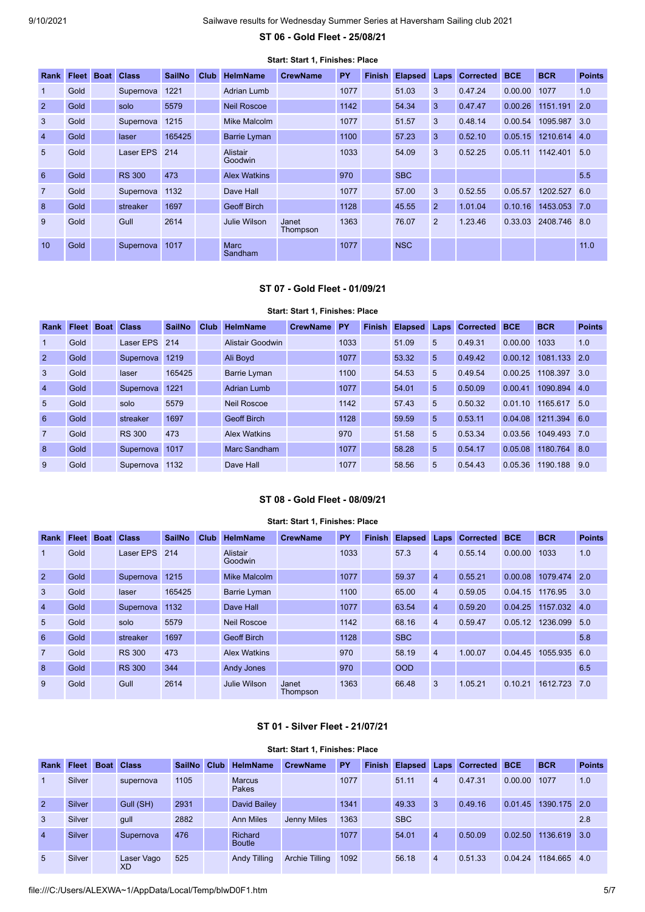**ST 06 - Gold Fleet - 25/08/21**

<span id="page-4-0"></span>

|                 |              |             |               |               |             |                        | Start: Start 1, Finishes: Place |      |               |                |                |                  |            |              |               |
|-----------------|--------------|-------------|---------------|---------------|-------------|------------------------|---------------------------------|------|---------------|----------------|----------------|------------------|------------|--------------|---------------|
| Rank            | <b>Fleet</b> | <b>Boat</b> | <b>Class</b>  | <b>SailNo</b> | <b>Club</b> | <b>HelmName</b>        | <b>CrewName</b>                 | PY   | <b>Finish</b> | <b>Elapsed</b> | Laps           | <b>Corrected</b> | <b>BCE</b> | <b>BCR</b>   | <b>Points</b> |
| $\mathbf{1}$    | Gold         |             | Supernova     | 1221          |             | Adrian Lumb            |                                 | 1077 |               | 51.03          | 3              | 0.47.24          | 0.00.00    | 1077         | 1.0           |
| $\overline{2}$  | Gold         |             | solo          | 5579          |             | <b>Neil Roscoe</b>     |                                 | 1142 |               | 54.34          | 3              | 0.47.47          | 0.00.26    | 1151.191     | 2.0           |
| 3               | Gold         |             | Supernova     | 1215          |             | Mike Malcolm           |                                 | 1077 |               | 51.57          | 3              | 0.48.14          | 0.00.54    | 1095.987     | 3.0           |
| $\overline{4}$  | Gold         |             | laser         | 165425        |             | Barrie Lyman           |                                 | 1100 |               | 57.23          | 3              | 0.52.10          | 0.05.15    | 1210.614 4.0 |               |
| $5\overline{)}$ | Gold         |             | Laser EPS     | 214           |             | Alistair<br>Goodwin    |                                 | 1033 |               | 54.09          | 3              | 0.52.25          | 0.05.11    | 1142.401     | 5.0           |
| 6               | Gold         |             | <b>RS 300</b> | 473           |             | <b>Alex Watkins</b>    |                                 | 970  |               | <b>SBC</b>     |                |                  |            |              | 5.5           |
| $\overline{7}$  | Gold         |             | Supernova     | 1132          |             | Dave Hall              |                                 | 1077 |               | 57.00          | 3              | 0.52.55          | 0.05.57    | 1202.527     | 6.0           |
| 8               | Gold         |             | streaker      | 1697          |             | <b>Geoff Birch</b>     |                                 | 1128 |               | 45.55          | $\overline{2}$ | 1.01.04          | 0.10.16    | 1453.053 7.0 |               |
| 9               | Gold         |             | Gull          | 2614          |             | Julie Wilson           | Janet<br>Thompson               | 1363 |               | 76.07          | $\overline{2}$ | 1.23.46          | 0.33.03    | 2408.746 8.0 |               |
| 10              | Gold         |             | Supernova     | 1017          |             | <b>Marc</b><br>Sandham |                                 | 1077 |               | <b>NSC</b>     |                |                  |            |              | 11.0          |

### **ST 07 - Gold Fleet - 01/09/21**

#### **Start: Start 1, Finishes: Place**

<span id="page-4-1"></span>

| <b>Rank</b>    | <b>Fleet</b> | <b>Boat</b> | <b>Class</b>  | <b>SailNo</b> | Club | <b>HelmName</b>     | <b>CrewName</b> | <b>PY</b> | <b>Finish</b> | <b>Elapsed</b> | <b>Laps</b> | <b>Corrected</b> | <b>BCE</b> | <b>BCR</b> | <b>Points</b>    |
|----------------|--------------|-------------|---------------|---------------|------|---------------------|-----------------|-----------|---------------|----------------|-------------|------------------|------------|------------|------------------|
| $\mathbf{1}$   | Gold         |             | Laser EPS 214 |               |      | Alistair Goodwin    |                 | 1033      |               | 51.09          | 5           | 0.49.31          | 0.00.00    | 1033       | 1.0              |
| 2              | Gold         |             | Supernova     | 1219          |      | Ali Bovd            |                 | 1077      |               | 53.32          | 5           | 0.49.42          | 0.00.12    | 1081.133   | $\sqrt{2.0}$     |
| 3              | Gold         |             | laser         | 165425        |      | Barrie Lyman        |                 | 1100      |               | 54.53          | 5           | 0.49.54          | 0.00.25    | 1108.397   | 3.0              |
| $\overline{4}$ | Gold         |             | Supernova     | 1221          |      | <b>Adrian Lumb</b>  |                 | 1077      |               | 54.01          | 5           | 0.50.09          | 0.00.41    | 1090.894   | 4.0              |
| 5              | Gold         |             | solo          | 5579          |      | Neil Roscoe         |                 | 1142      |               | 57.43          | 5           | 0.50.32          | 0.01.10    | 1165.617   | 5.0              |
| 6              | Gold         |             | streaker      | 1697          |      | <b>Geoff Birch</b>  |                 | 1128      |               | 59.59          | 5           | 0.53.11          | 0.04.08    | 1211.394   | 6.0              |
| $\overline{7}$ | Gold         |             | <b>RS 300</b> | 473           |      | <b>Alex Watkins</b> |                 | 970       |               | 51.58          | 5           | 0.53.34          | 0.03.56    | 1049.493   | $\overline{7.0}$ |
| 8              | Gold         |             | Supernova     | 1017          |      | Marc Sandham        |                 | 1077      |               | 58.28          | 5           | 0.54.17          | 0.05.08    | 1180.764   | 8.0              |
| 9              | Gold         |             | Supernova     | 1132          |      | Dave Hall           |                 | 1077      |               | 58.56          | 5           | 0.54.43          | 0.05.36    | 1190.188   | 9.0              |

# **ST 08 - Gold Fleet - 08/09/21**

<span id="page-4-2"></span>

|                 |              |             |               |               |      |                            | <b>Start: Start 1. Finishes: Place</b> |      |               |              |                |                  |            |              |               |
|-----------------|--------------|-------------|---------------|---------------|------|----------------------------|----------------------------------------|------|---------------|--------------|----------------|------------------|------------|--------------|---------------|
| Rank            | <b>Fleet</b> | <b>Boat</b> | <b>Class</b>  | <b>SailNo</b> | Club | <b>HelmName</b>            | <b>CrewName</b>                        | PY   | <b>Finish</b> | Elapsed Laps |                | <b>Corrected</b> | <b>BCE</b> | <b>BCR</b>   | <b>Points</b> |
|                 | Gold         |             | Laser EPS 214 |               |      | <b>Alistair</b><br>Goodwin |                                        | 1033 |               | 57.3         | $\overline{4}$ | 0.55.14          | 0.00.00    | 1033         | 1.0           |
| $\overline{2}$  | Gold         |             | Supernova     | 1215          |      | Mike Malcolm               |                                        | 1077 |               | 59.37        | $\overline{4}$ | 0.55.21          | 0.00.08    | 1079.474 2.0 |               |
| $\mathbf{3}$    | Gold         |             | laser         | 165425        |      | <b>Barrie Lyman</b>        |                                        | 1100 |               | 65.00        | $\overline{4}$ | 0.59.05          | 0.04.15    | 1176.95      | 3.0           |
| $\overline{4}$  | Gold         |             | Supernova     | 1132          |      | Dave Hall                  |                                        | 1077 |               | 63.54        | $\overline{4}$ | 0.59.20          | 0.04.25    | 1157.032     | 4.0           |
| $5\overline{)}$ | Gold         |             | solo          | 5579          |      | <b>Neil Roscoe</b>         |                                        | 1142 |               | 68.16        | $\overline{4}$ | 0.59.47          | 0.05.12    | 1236.099     | 5.0           |
| 6               | Gold         |             | streaker      | 1697          |      | <b>Geoff Birch</b>         |                                        | 1128 |               | <b>SBC</b>   |                |                  |            |              | 5.8           |
| $\overline{7}$  | Gold         |             | <b>RS 300</b> | 473           |      | <b>Alex Watkins</b>        |                                        | 970  |               | 58.19        | $\overline{4}$ | 1.00.07          | 0.04.45    | 1055.935 6.0 |               |
| 8               | Gold         |             | <b>RS 300</b> | 344           |      | <b>Andy Jones</b>          |                                        | 970  |               | <b>OOD</b>   |                |                  |            |              | 6.5           |
| 9               | Gold         |             | Gull          | 2614          |      | Julie Wilson               | Janet<br>Thompson                      | 1363 |               | 66.48        | 3              | 1.05.21          | 0.10.21    | 1612.723     | 7.0           |

### **ST 01 - Silver Fleet - 21/07/21**

<span id="page-4-3"></span>

|                 |               |             |                         |               |      |                                 | Start: Start 1, Finishes: Place |      |               |                     |                |           |            |              |               |
|-----------------|---------------|-------------|-------------------------|---------------|------|---------------------------------|---------------------------------|------|---------------|---------------------|----------------|-----------|------------|--------------|---------------|
| Rank            | Fleet         | <b>Boat</b> | <b>Class</b>            | <b>SailNo</b> | Club | <b>HelmName</b>                 | <b>CrewName</b>                 | PY   | <b>Finish</b> | <b>Elapsed Laps</b> |                | Corrected | <b>BCE</b> | <b>BCR</b>   | <b>Points</b> |
| $\mathbf{1}$    | Silver        |             | supernova               | 1105          |      | <b>Marcus</b><br>Pakes          |                                 | 1077 |               | 51.11               | $\overline{4}$ | 0.47.31   | 0.00.00    | 1077         | 1.0           |
| $\overline{2}$  | <b>Silver</b> |             | Gull (SH)               | 2931          |      | David Bailey                    |                                 | 1341 |               | 49.33               | 3              | 0.49.16   | 0.01.45    | 1390.175 2.0 |               |
| $\overline{3}$  | Silver        |             | qull                    | 2882          |      | <b>Ann Miles</b>                | Jenny Miles                     | 1363 |               | <b>SBC</b>          |                |           |            |              | 2.8           |
| $\overline{4}$  | <b>Silver</b> |             | Supernova               | 476           |      | <b>Richard</b><br><b>Boutle</b> |                                 | 1077 |               | 54.01               | $\overline{4}$ | 0.50.09   | 0.02.50    | 1136.619     | 3.0           |
| $5\overline{)}$ | Silver        |             | Laser Vago<br><b>XD</b> | 525           |      | <b>Andy Tilling</b>             | <b>Archie Tilling</b>           | 1092 |               | 56.18               | $\overline{4}$ | 0.51.33   | 0.04.24    | 1184.665 4.0 |               |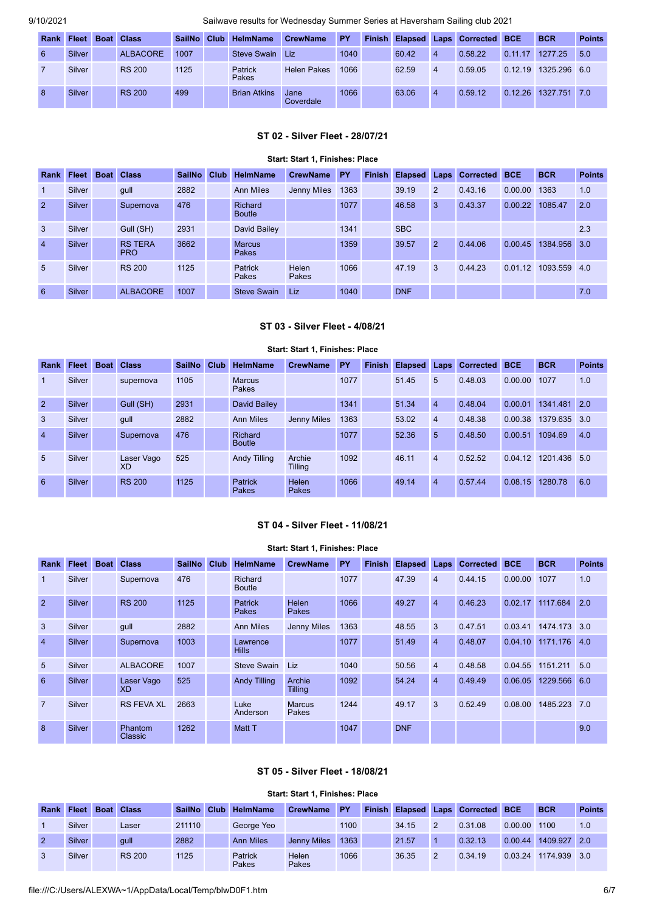| Rank | <b>Fleet</b>  | <b>Boat Class</b> | <b>SailNo</b> | Club | <b>HelmName</b>                | <b>CrewName</b>    | <b>PY</b> |       |                | Finish Elapsed Laps Corrected BCE |         | <b>BCR</b>   | <b>Points</b> |
|------|---------------|-------------------|---------------|------|--------------------------------|--------------------|-----------|-------|----------------|-----------------------------------|---------|--------------|---------------|
| 6    | Silver        | <b>ALBACORE</b>   | 1007          |      | Steve Swain                    | Liz                | 1040      | 60.42 | $\overline{4}$ | 0.58.22                           | 0.11.17 | 1277.25      | 5.0           |
|      | Silver        | <b>RS 200</b>     | 1125          |      | <b>Patrick</b><br><b>Pakes</b> | <b>Helen Pakes</b> | 1066      | 62.59 | $\overline{4}$ | 0.59.05                           | 0.12.19 | 1325.296 6.0 |               |
| -8   | <b>Silver</b> | <b>RS 200</b>     | 499           |      | <b>Brian Atkins</b>            | Jane<br>Coverdale  | 1066      | 63.06 | $\overline{4}$ | 0.59.12                           | 0.12.26 | 1327.751 7.0 |               |

## **ST 02 - Silver Fleet - 28/07/21**

### **Start: Start 1, Finishes: Place**

<span id="page-5-0"></span>

| Rank            | Fleet         | <b>Boat</b> | <b>Class</b>                 | <b>SailNo</b> | Club | <b>HelmName</b>          | <b>CrewName</b> | PY   | <b>Finish</b> | <b>Elapsed</b> | Laps <sup>r</sup> | <b>Corrected</b> | <b>BCE</b> | <b>BCR</b>   | <b>Points</b> |
|-----------------|---------------|-------------|------------------------------|---------------|------|--------------------------|-----------------|------|---------------|----------------|-------------------|------------------|------------|--------------|---------------|
| $\mathbf{1}$    | Silver        |             | gull                         | 2882          |      | <b>Ann Miles</b>         | Jenny Miles     | 1363 |               | 39.19          | $\overline{2}$    | 0.43.16          | 0.00.00    | 1363         | 1.0           |
| $\overline{2}$  | <b>Silver</b> |             | Supernova                    | 476           |      | Richard<br><b>Boutle</b> |                 | 1077 |               | 46.58          | 3                 | 0.43.37          | 0.00.22    | 1085.47      | 2.0           |
| $\mathbf{3}$    | Silver        |             | Gull (SH)                    | 2931          |      | David Bailey             |                 | 1341 |               | <b>SBC</b>     |                   |                  |            |              | 2.3           |
| $\overline{4}$  | <b>Silver</b> |             | <b>RS TERA</b><br><b>PRO</b> | 3662          |      | <b>Marcus</b><br>Pakes   |                 | 1359 |               | 39.57          | $\overline{2}$    | 0.44.06          | 0.00.45    | 1384.956 3.0 |               |
| $5\overline{)}$ | Silver        |             | <b>RS 200</b>                | 1125          |      | Patrick<br>Pakes         | Helen<br>Pakes  | 1066 |               | 47.19          | 3                 | 0.44.23          | 0.01<br>12 | 1093.559 4.0 |               |
| 6               | Silver        |             | <b>ALBACORE</b>              | 1007          |      | <b>Steve Swain</b>       | Liz             | 1040 |               | <b>DNF</b>     |                   |                  |            |              | 7.0           |

# **ST 03 - Silver Fleet - 4/08/21**

### **Start: Start 1, Finishes: Place**

<span id="page-5-1"></span>

| <b>Rank</b>    | Fleet         | <b>Boat</b> | <b>Class</b>            | <b>SailNo</b> | Club | <b>HelmName</b>          | <b>CrewName</b>    | PY   | <b>Finish</b> | <b>Elapsed</b> | Laps           | <b>Corrected</b> | <b>BCE</b> | <b>BCR</b>   | <b>Points</b> |
|----------------|---------------|-------------|-------------------------|---------------|------|--------------------------|--------------------|------|---------------|----------------|----------------|------------------|------------|--------------|---------------|
| $\mathbf{1}$   | Silver        |             | supernova               | 1105          |      | <b>Marcus</b><br>Pakes   |                    | 1077 |               | 51.45          | 5              | 0.48.03          | 0.00.00    | 1077         | 1.0           |
| $\overline{2}$ | <b>Silver</b> |             | Gull (SH)               | 2931          |      | David Bailey             |                    | 1341 |               | 51.34          | $\overline{4}$ | 0.48.04          | 0.00.01    | 1341.481 2.0 |               |
| $\mathbf{3}$   | Silver        |             | qull                    | 2882          |      | <b>Ann Miles</b>         | <b>Jenny Miles</b> | 1363 |               | 53.02          | $\overline{4}$ | 0.48.38          | 0.00.38    | 1379.635 3.0 |               |
| $\overline{4}$ | <b>Silver</b> |             | Supernova               | 476           |      | Richard<br><b>Boutle</b> |                    | 1077 |               | 52.36          | 5              | 0.48.50          | 0.00.51    | 1094.69      | 4.0           |
| -5             | Silver        |             | Laser Vago<br><b>XD</b> | 525           |      | <b>Andy Tilling</b>      | Archie<br>Tilling  | 1092 |               | 46.11          | $\overline{4}$ | 0.52.52          | 0.04.12    | 1201.436 5.0 |               |
| 6              | Silver        |             | <b>RS 200</b>           | 1125          |      | <b>Patrick</b><br>Pakes  | Helen<br>Pakes     | 1066 |               | 49.14          | $\overline{4}$ | 0.57.44          | 0.08.15    | 1280.78      | 6.0           |

## **ST 04 - Silver Fleet - 11/08/21**

#### **Start: Start 1, Finishes: Place**

<span id="page-5-2"></span>

| Rank            | <b>Fleet</b> | <b>Boat</b> | <b>Class</b>              | <b>SailNo</b> | Club | <b>HelmName</b>          | <b>CrewName</b>          | PY   | <b>Finish</b> | <b>Elapsed</b> | Laps           | <b>Corrected</b> | <b>BCE</b> | <b>BCR</b>   | <b>Points</b> |
|-----------------|--------------|-------------|---------------------------|---------------|------|--------------------------|--------------------------|------|---------------|----------------|----------------|------------------|------------|--------------|---------------|
| $\overline{1}$  | Silver       |             | Supernova                 | 476           |      | Richard<br><b>Boutle</b> |                          | 1077 |               | 47.39          | $\overline{4}$ | 0.44.15          | 0.00.00    | 1077         | 1.0           |
| $\overline{2}$  | Silver       |             | <b>RS 200</b>             | 1125          |      | <b>Patrick</b><br>Pakes  | Helen<br>Pakes           | 1066 |               | 49.27          | $\overline{4}$ | 0.46.23          | 0.02.17    | 1117.684     | 2.0           |
| 3               | Silver       |             | qull                      | 2882          |      | <b>Ann Miles</b>         | Jenny Miles              | 1363 |               | 48.55          | 3              | 0.47.51          | 0.03.41    | 1474.173 3.0 |               |
| $\overline{4}$  | Silver       |             | Supernova                 | 1003          |      | Lawrence<br><b>Hills</b> |                          | 1077 |               | 51.49          | $\overline{4}$ | 0.48.07          | 0.04.10    | 1171.176     | 4.0           |
| $5\overline{)}$ | Silver       |             | <b>ALBACORE</b>           | 1007          |      | Steve Swain              | Liz                      | 1040 |               | 50.56          | $\overline{4}$ | 0.48.58          | 0.04.55    | 1151.211     | 5.0           |
| 6               | Silver       |             | Laser Vago<br><b>XD</b>   | 525           |      | <b>Andy Tilling</b>      | Archie<br><b>Tilling</b> | 1092 |               | 54.24          | $\overline{4}$ | 0.49.49          | 0.06.05    | 1229.566 6.0 |               |
| $\overline{7}$  | Silver       |             | <b>RS FEVA XL</b>         | 2663          |      | Luke<br>Anderson         | <b>Marcus</b><br>Pakes   | 1244 |               | 49.17          | 3              | 0.52.49          | 0.08.00    | 1485.223 7.0 |               |
| 8               | Silver       |             | Phantom<br><b>Classic</b> | 1262          |      | Matt T                   |                          | 1047 |               | <b>DNF</b>     |                |                  |            |              | 9.0           |

### **ST 05 - Silver Fleet - 18/08/21**

#### **Start: Start 1, Finishes: Place**

<span id="page-5-3"></span>

| Rank | <b>Fleet</b> | <b>Boat Class</b> |        | SailNo Club HelmName | <b>CrewName</b>    | <b>PY</b> |       |               | <b>Finish Elapsed Laps Corrected BCE</b> |         | <b>BCR</b>   | <b>Points</b> |
|------|--------------|-------------------|--------|----------------------|--------------------|-----------|-------|---------------|------------------------------------------|---------|--------------|---------------|
|      | Silver       | Laser             | 211110 | George Yeo           |                    | 1100      | 34.15 | $\mathcal{P}$ | 0.31.08                                  | 0.00.00 | 1100         | 1.0           |
|      | Silver       | qull              | 2882   | <b>Ann Miles</b>     | <b>Jenny Miles</b> | 1363      | 21.57 |               | 0.32.13                                  | 0.00.44 | 1409.927 2.0 |               |
|      | Silver       | <b>RS 200</b>     | 1125   | Patrick<br>Pakes     | Helen<br>Pakes     | 1066      | 36.35 | $\mathcal{P}$ | 0.34.19                                  | 0.03.24 | 1174.939     | $-3.0$        |